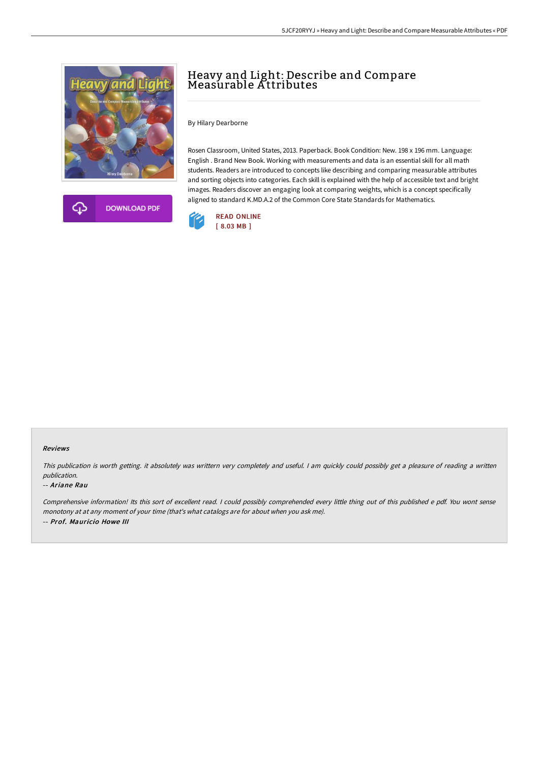



# Heavy and Light: Describe and Compare Measurable Attributes

By Hilary Dearborne

Rosen Classroom, United States, 2013. Paperback. Book Condition: New. 198 x 196 mm. Language: English . Brand New Book. Working with measurements and data is an essential skill for all math students. Readers are introduced to concepts like describing and comparing measurable attributes and sorting objects into categories. Each skill is explained with the help of accessible text and bright images. Readers discover an engaging look at comparing weights, which is a concept specifically aligned to standard K.MD.A.2 of the Common Core State Standards for Mathematics.



#### Reviews

This publication is worth getting. it absolutely was writtern very completely and useful. <sup>I</sup> am quickly could possibly get <sup>a</sup> pleasure of reading <sup>a</sup> written publication.

#### -- Ariane Rau

Comprehensive information! Its this sort of excellent read. <sup>I</sup> could possibly comprehended every little thing out of this published <sup>e</sup> pdf. You wont sense monotony at at any moment of your time (that's what catalogs are for about when you ask me). -- Prof. Mauricio Howe III